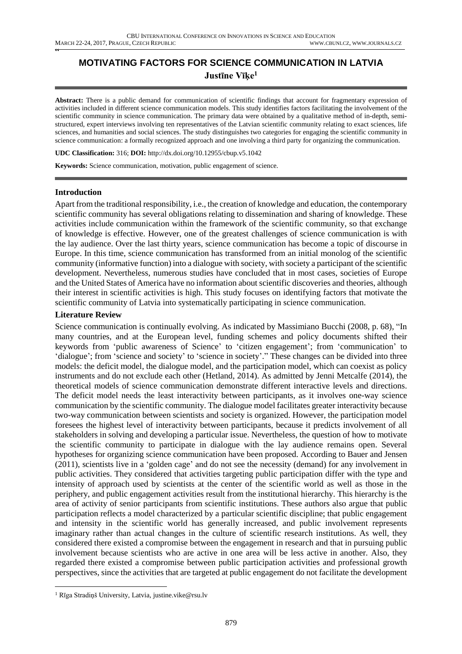# **MOTIVATING FACTORS FOR SCIENCE COMMUNICATION IN LATVIA Justīne Vīķe<sup>1</sup>**

**Abstract:** There is a public demand for communication of scientific findings that account for fragmentary expression of activities included in different science communication models. This study identifies factors facilitating the involvement of the scientific community in science communication. The primary data were obtained by a qualitative method of in-depth, semistructured, expert interviews involving ten representatives of the Latvian scientific community relating to exact sciences, life sciences, and humanities and social sciences. The study distinguishes two categories for engaging the scientific community in science communication: a formally recognized approach and one involving a third party for organizing the communication.

**UDC Classification:** 316; **DOI:** http://dx.doi.org/10.12955/cbup.v5.1042

**Keywords:** Science communication, motivation, public engagement of science.

## **Introduction**

**"** 

Apart from the traditional responsibility, i.e., the creation of knowledge and education, the contemporary scientific community has several obligations relating to dissemination and sharing of knowledge. These activities include communication within the framework of the scientific community, so that exchange of knowledge is effective. However, one of the greatest challenges of science communication is with the lay audience. Over the last thirty years, science communication has become a topic of discourse in Europe. In this time, science communication has transformed from an initial monolog of the scientific community (informative function) into a dialogue with society, with society a participant of the scientific development. Nevertheless, numerous studies have concluded that in most cases, societies of Europe and the United States of America have no information about scientific discoveries and theories, although their interest in scientific activities is high. This study focuses on identifying factors that motivate the scientific community of Latvia into systematically participating in science communication.

## **Literature Review**

Science communication is continually evolving. As indicated by Massimiano Bucchi (2008, p. 68), "In many countries, and at the European level, funding schemes and policy documents shifted their keywords from 'public awareness of Science' to 'citizen engagement'; from 'communication' to 'dialogue'; from 'science and society' to 'science in society'." These changes can be divided into three models: the deficit model, the dialogue model, and the participation model, which can coexist as policy instruments and do not exclude each other (Hetland, 2014). As admitted by Jenni Metcalfe (2014), the theoretical models of science communication demonstrate different interactive levels and directions. The deficit model needs the least interactivity between participants, as it involves one-way science communication by the scientific community. The dialogue model facilitates greater interactivity because two-way communication between scientists and society is organized. However, the participation model foresees the highest level of interactivity between participants, because it predicts involvement of all stakeholders in solving and developing a particular issue. Nevertheless, the question of how to motivate the scientific community to participate in dialogue with the lay audience remains open. Several hypotheses for organizing science communication have been proposed. According to Bauer and Jensen (2011), scientists live in a 'golden cage' and do not see the necessity (demand) for any involvement in public activities. They considered that activities targeting public participation differ with the type and intensity of approach used by scientists at the center of the scientific world as well as those in the periphery, and public engagement activities result from the institutional hierarchy. This hierarchy is the area of activity of senior participants from scientific institutions. These authors also argue that public participation reflects a model characterized by a particular scientific discipline; that public engagement and intensity in the scientific world has generally increased, and public involvement represents imaginary rather than actual changes in the culture of scientific research institutions. As well, they considered there existed a compromise between the engagement in research and that in pursuing public involvement because scientists who are active in one area will be less active in another. Also, they regarded there existed a compromise between public participation activities and professional growth perspectives, since the activities that are targeted at public engagement do not facilitate the development

 $\overline{a}$ 

<sup>1</sup> Rīga Stradiņš University, Latvia, justine.vike@rsu.lv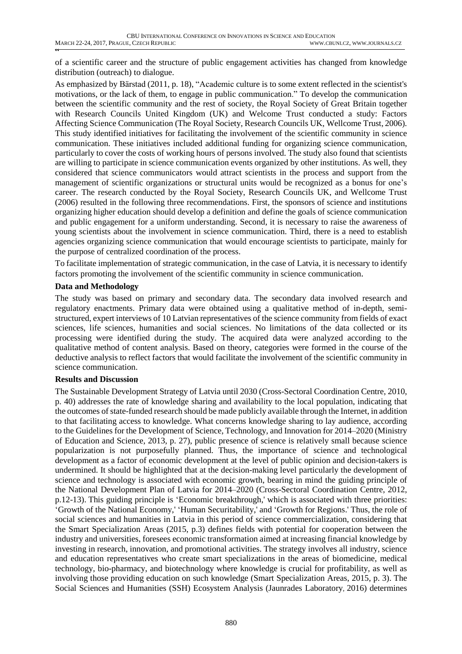**"** of a scientific career and the structure of public engagement activities has changed from knowledge distribution (outreach) to dialogue.

As emphasized by Bärstad (2011, p. 18), "Academic culture is to some extent reflected in the scientist's motivations, or the lack of them, to engage in public communication." To develop the communication between the scientific community and the rest of society, the Royal Society of Great Britain together with Research Councils United Kingdom (UK) and Welcome Trust conducted a study: Factors Affecting Science Communication (The Royal Society, Research Councils UK, Wellcome Trust, 2006). This study identified initiatives for facilitating the involvement of the scientific community in science communication. These initiatives included additional funding for organizing science communication, particularly to cover the costs of working hours of persons involved. The study also found that scientists are willing to participate in science communication events organized by other institutions. As well, they considered that science communicators would attract scientists in the process and support from the management of scientific organizations or structural units would be recognized as a bonus for one's career. The research conducted by the Royal Society, Research Councils UK, and Wellcome Trust (2006) resulted in the following three recommendations. First, the sponsors of science and institutions organizing higher education should develop a definition and define the goals of science communication and public engagement for a uniform understanding. Second, it is necessary to raise the awareness of young scientists about the involvement in science communication. Third, there is a need to establish agencies organizing science communication that would encourage scientists to participate, mainly for the purpose of centralized coordination of the process.

To facilitate implementation of strategic communication, in the case of Latvia, it is necessary to identify factors promoting the involvement of the scientific community in science communication.

## **Data and Methodology**

The study was based on primary and secondary data. The secondary data involved research and regulatory enactments. Primary data were obtained using a qualitative method of in-depth, semistructured, expert interviews of 10 Latvian representatives of the science community from fields of exact sciences, life sciences, humanities and social sciences. No limitations of the data collected or its processing were identified during the study. The acquired data were analyzed according to the qualitative method of content analysis. Based on theory, categories were formed in the course of the deductive analysis to reflect factors that would facilitate the involvement of the scientific community in science communication.

## **Results and Discussion**

The Sustainable Development Strategy of Latvia until 2030 (Cross-Sectoral Coordination Centre, 2010, p. 40) addresses the rate of knowledge sharing and availability to the local population, indicating that the outcomes ofstate-funded research should be made publicly available through the Internet, in addition to that facilitating access to knowledge. What concerns knowledge sharing to lay audience, according to the Guidelines for the Development of Science, Technology, and Innovation for 2014–2020 (Ministry of Education and Science, 2013, p. 27), public presence of science is relatively small because science popularization is not purposefully planned. Thus, the importance of science and technological development as a factor of economic development at the level of public opinion and decision-takers is undermined. It should be highlighted that at the decision-making level particularly the development of science and technology is associated with economic growth, bearing in mind the guiding principle of the National Development Plan of Latvia for 2014–2020 (Cross-Sectoral Coordination Centre, 2012, p.12-13). This guiding principle is 'Economic breakthrough,' which is associated with three priorities: 'Growth of the National Economy,' 'Human Securitability,' and 'Growth for Regions.' Thus, the role of social sciences and humanities in Latvia in this period of science commercialization, considering that the Smart Specialization Areas (2015, p.3) defines fields with potential for cooperation between the industry and universities, foresees economic transformation aimed at increasing financial knowledge by investing in research, innovation, and promotional activities. The strategy involves all industry, science and education representatives who create smart specializations in the areas of biomedicine, medical technology, bio-pharmacy, and biotechnology where knowledge is crucial for profitability, as well as involving those providing education on such knowledge (Smart Specialization Areas, 2015, p. 3). The Social Sciences and Humanities (SSH) Ecosystem Analysis (Jaunrades Laboratory, 2016) determines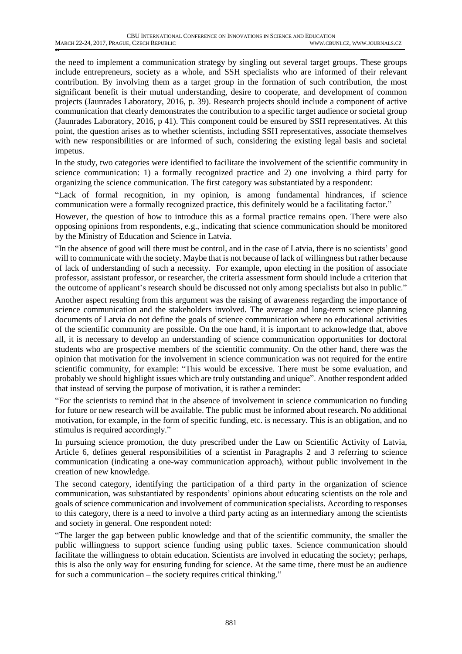**"** the need to implement a communication strategy by singling out several target groups. These groups include entrepreneurs, society as a whole, and SSH specialists who are informed of their relevant contribution. By involving them as a target group in the formation of such contribution, the most significant benefit is their mutual understanding, desire to cooperate, and development of common projects (Jaunrades Laboratory, 2016, p. 39). Research projects should include a component of active communication that clearly demonstrates the contribution to a specific target audience or societal group (Jaunrades Laboratory, 2016, p 41). This component could be ensured by SSH representatives. At this point, the question arises as to whether scientists, including SSH representatives, associate themselves with new responsibilities or are informed of such, considering the existing legal basis and societal impetus.

In the study, two categories were identified to facilitate the involvement of the scientific community in science communication: 1) a formally recognized practice and 2) one involving a third party for organizing the science communication. The first category was substantiated by a respondent:

"Lack of formal recognition, in my opinion, is among fundamental hindrances, if science communication were a formally recognized practice, this definitely would be a facilitating factor."

However, the question of how to introduce this as a formal practice remains open. There were also opposing opinions from respondents, e.g., indicating that science communication should be monitored by the Ministry of Education and Science in Latvia.

"In the absence of good will there must be control, and in the case of Latvia, there is no scientists' good will to communicate with the society. Maybe that is not because of lack of willingness but rather because of lack of understanding of such a necessity. For example, upon electing in the position of associate professor, assistant professor, or researcher, the criteria assessment form should include a criterion that the outcome of applicant's research should be discussed not only among specialists but also in public."

Another aspect resulting from this argument was the raising of awareness regarding the importance of science communication and the stakeholders involved. The average and long-term science planning documents of Latvia do not define the goals of science communication where no educational activities of the scientific community are possible. On the one hand, it is important to acknowledge that, above all, it is necessary to develop an understanding of science communication opportunities for doctoral students who are prospective members of the scientific community. On the other hand, there was the opinion that motivation for the involvement in science communication was not required for the entire scientific community, for example: "This would be excessive. There must be some evaluation, and probably we should highlight issues which are truly outstanding and unique". Another respondent added that instead of serving the purpose of motivation, it is rather a reminder:

"For the scientists to remind that in the absence of involvement in science communication no funding for future or new research will be available. The public must be informed about research. No additional motivation, for example, in the form of specific funding, etc. is necessary. This is an obligation, and no stimulus is required accordingly."

In pursuing science promotion, the duty prescribed under the Law on Scientific Activity of Latvia, Article 6, defines general responsibilities of a scientist in Paragraphs 2 and 3 referring to science communication (indicating a one-way communication approach), without public involvement in the creation of new knowledge.

The second category, identifying the participation of a third party in the organization of science communication, was substantiated by respondents' opinions about educating scientists on the role and goals of science communication and involvement of communication specialists. According to responses to this category, there is a need to involve a third party acting as an intermediary among the scientists and society in general. One respondent noted:

"The larger the gap between public knowledge and that of the scientific community, the smaller the public willingness to support science funding using public taxes. Science communication should facilitate the willingness to obtain education. Scientists are involved in educating the society; perhaps, this is also the only way for ensuring funding for science. At the same time, there must be an audience for such a communication – the society requires critical thinking."